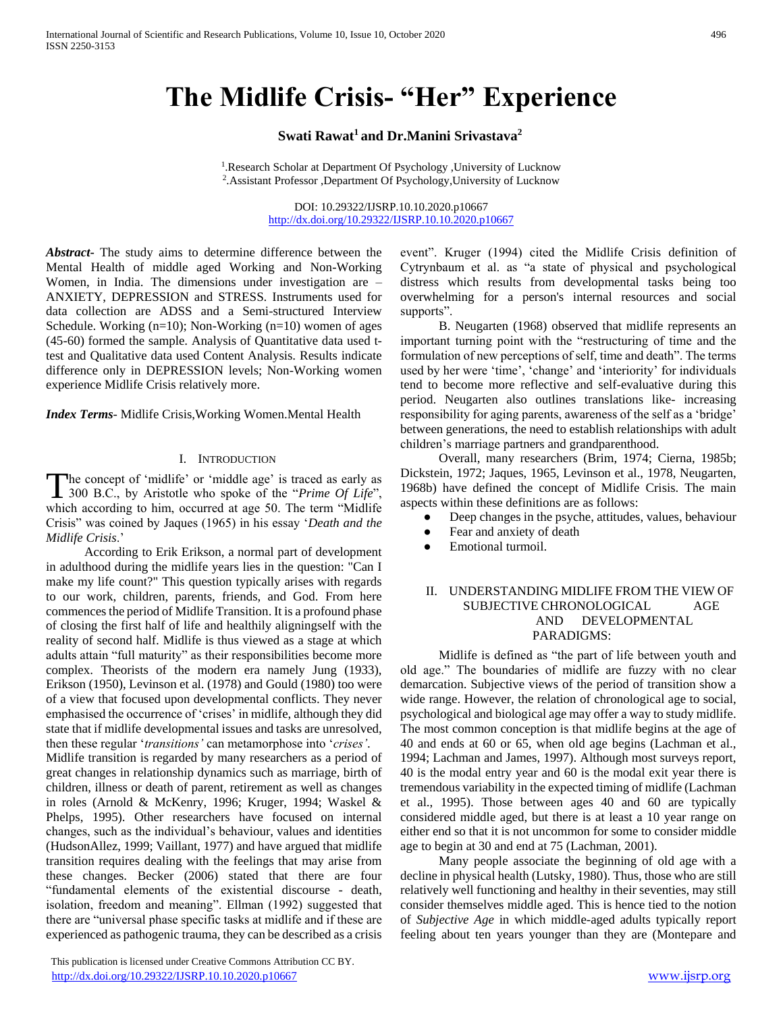# **The Midlife Crisis- "Her" Experience**

# **Swati Rawat<sup>1</sup>and Dr.Manini Srivastava<sup>2</sup>**

<sup>1</sup>. Research Scholar at Department Of Psychology , University of Lucknow 2 .Assistant Professor ,Department Of Psychology,University of Lucknow

> DOI: 10.29322/IJSRP.10.10.2020.p10667 <http://dx.doi.org/10.29322/IJSRP.10.10.2020.p10667>

*Abstract***-** The study aims to determine difference between the Mental Health of middle aged Working and Non-Working Women, in India. The dimensions under investigation are – ANXIETY, DEPRESSION and STRESS. Instruments used for data collection are ADSS and a Semi-structured Interview Schedule. Working  $(n=10)$ ; Non-Working  $(n=10)$  women of ages (45-60) formed the sample. Analysis of Quantitative data used ttest and Qualitative data used Content Analysis. Results indicate difference only in DEPRESSION levels; Non-Working women experience Midlife Crisis relatively more.

*Index Terms*- Midlife Crisis,Working Women.Mental Health

#### I. INTRODUCTION

he concept of 'midlife' or 'middle age' is traced as early as The concept of 'midlife' or 'middle age' is traced as early as<br>
300 B.C., by Aristotle who spoke of the "*Prime Of Life*", which according to him, occurred at age 50. The term "Midlife Crisis" was coined by Jaques (1965) in his essay '*Death and the Midlife Crisis*.'

 According to Erik Erikson, a normal part of development in adulthood during the midlife years lies in the question: "Can I make my life count?" This question typically arises with regards to our work, children, parents, friends, and God. From here commences the period of Midlife Transition. It is a profound phase of closing the first half of life and healthily aligningself with the reality of second half. Midlife is thus viewed as a stage at which adults attain "full maturity" as their responsibilities become more complex. Theorists of the modern era namely Jung (1933), Erikson (1950), Levinson et al. (1978) and Gould (1980) too were of a view that focused upon developmental conflicts. They never emphasised the occurrence of 'crises' in midlife, although they did state that if midlife developmental issues and tasks are unresolved, then these regular '*transitions'* can metamorphose into '*crises'*. Midlife transition is regarded by many researchers as a period of great changes in relationship dynamics such as marriage, birth of children, illness or death of parent, retirement as well as changes in roles (Arnold & McKenry, 1996; Kruger, 1994; Waskel & Phelps, 1995). Other researchers have focused on internal changes, such as the individual's behaviour, values and identities (HudsonAllez, 1999; Vaillant, 1977) and have argued that midlife transition requires dealing with the feelings that may arise from these changes. Becker (2006) stated that there are four "fundamental elements of the existential discourse - death, isolation, freedom and meaning". Ellman (1992) suggested that there are "universal phase specific tasks at midlife and if these are experienced as pathogenic trauma, they can be described as a crisis

 This publication is licensed under Creative Commons Attribution CC BY. <http://dx.doi.org/10.29322/IJSRP.10.10.2020.p10667> [www.ijsrp.org](http://ijsrp.org/)

event". Kruger (1994) cited the Midlife Crisis definition of Cytrynbaum et al. as "a state of physical and psychological distress which results from developmental tasks being too overwhelming for a person's internal resources and social supports".

 B. Neugarten (1968) observed that midlife represents an important turning point with the "restructuring of time and the formulation of new perceptions of self, time and death". The terms used by her were 'time', 'change' and 'interiority' for individuals tend to become more reflective and self-evaluative during this period. Neugarten also outlines translations like- increasing responsibility for aging parents, awareness of the self as a 'bridge' between generations, the need to establish relationships with adult children's marriage partners and grandparenthood.

 Overall, many researchers (Brim, 1974; Cierna, 1985b; Dickstein, 1972; Jaques, 1965, Levinson et al., 1978, Neugarten, 1968b) have defined the concept of Midlife Crisis. The main aspects within these definitions are as follows:

- Deep changes in the psyche, attitudes, values, behaviour
- Fear and anxiety of death
- Emotional turmoil.

## II. UNDERSTANDING MIDLIFE FROM THE VIEW OF SUBJECTIVE CHRONOLOGICAL AGE AND DEVELOPMENTAL PARADIGMS:

 Midlife is defined as "the part of life between youth and old age." The boundaries of midlife are fuzzy with no clear demarcation. Subjective views of the period of transition show a wide range. However, the relation of chronological age to social, psychological and biological age may offer a way to study midlife. The most common conception is that midlife begins at the age of 40 and ends at 60 or 65, when old age begins (Lachman et al., 1994; Lachman and James, 1997). Although most surveys report, 40 is the modal entry year and 60 is the modal exit year there is tremendous variability in the expected timing of midlife (Lachman et al., 1995). Those between ages 40 and 60 are typically considered middle aged, but there is at least a 10 year range on either end so that it is not uncommon for some to consider middle age to begin at 30 and end at 75 (Lachman, 2001).

 Many people associate the beginning of old age with a decline in physical health (Lutsky, 1980). Thus, those who are still relatively well functioning and healthy in their seventies, may still consider themselves middle aged. This is hence tied to the notion of *Subjective Age* in which middle-aged adults typically report feeling about ten years younger than they are (Montepare and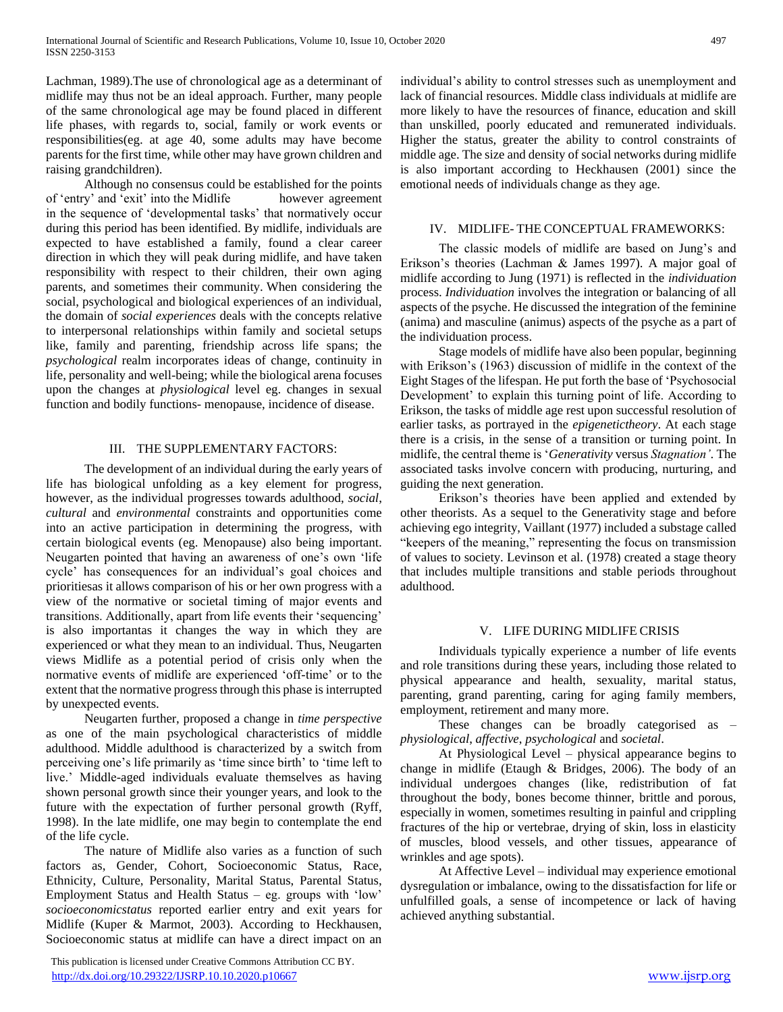Lachman, 1989).The use of chronological age as a determinant of midlife may thus not be an ideal approach. Further, many people of the same chronological age may be found placed in different life phases, with regards to, social, family or work events or responsibilities(eg. at age 40, some adults may have become parents for the first time, while other may have grown children and raising grandchildren).

 Although no consensus could be established for the points of 'entry' and 'exit' into the Midlife however agreement in the sequence of 'developmental tasks' that normatively occur during this period has been identified. By midlife, individuals are expected to have established a family, found a clear career direction in which they will peak during midlife, and have taken responsibility with respect to their children, their own aging parents, and sometimes their community. When considering the social, psychological and biological experiences of an individual, the domain of *social experiences* deals with the concepts relative to interpersonal relationships within family and societal setups like, family and parenting, friendship across life spans; the *psychological* realm incorporates ideas of change, continuity in life, personality and well-being; while the biological arena focuses upon the changes at *physiological* level eg. changes in sexual function and bodily functions- menopause, incidence of disease.

#### III. THE SUPPLEMENTARY FACTORS:

 The development of an individual during the early years of life has biological unfolding as a key element for progress, however, as the individual progresses towards adulthood, *social*, *cultural* and *environmental* constraints and opportunities come into an active participation in determining the progress, with certain biological events (eg. Menopause) also being important. Neugarten pointed that having an awareness of one's own 'life cycle' has consequences for an individual's goal choices and prioritiesas it allows comparison of his or her own progress with a view of the normative or societal timing of major events and transitions. Additionally, apart from life events their 'sequencing' is also importantas it changes the way in which they are experienced or what they mean to an individual. Thus, Neugarten views Midlife as a potential period of crisis only when the normative events of midlife are experienced 'off-time' or to the extent that the normative progress through this phase is interrupted by unexpected events.

 Neugarten further, proposed a change in *time perspective* as one of the main psychological characteristics of middle adulthood. Middle adulthood is characterized by a switch from perceiving one's life primarily as 'time since birth' to 'time left to live.' Middle-aged individuals evaluate themselves as having shown personal growth since their younger years, and look to the future with the expectation of further personal growth (Ryff, 1998). In the late midlife, one may begin to contemplate the end of the life cycle.

 The nature of Midlife also varies as a function of such factors as, Gender, Cohort, Socioeconomic Status, Race, Ethnicity, Culture, Personality, Marital Status, Parental Status, Employment Status and Health Status – eg. groups with 'low' *socioeconomicstatus* reported earlier entry and exit years for Midlife (Kuper & Marmot, 2003). According to Heckhausen, Socioeconomic status at midlife can have a direct impact on an

 This publication is licensed under Creative Commons Attribution CC BY. <http://dx.doi.org/10.29322/IJSRP.10.10.2020.p10667> [www.ijsrp.org](http://ijsrp.org/)

individual's ability to control stresses such as unemployment and lack of financial resources. Middle class individuals at midlife are more likely to have the resources of finance, education and skill than unskilled, poorly educated and remunerated individuals. Higher the status, greater the ability to control constraints of middle age. The size and density of social networks during midlife is also important according to Heckhausen (2001) since the emotional needs of individuals change as they age.

#### IV. MIDLIFE- THE CONCEPTUAL FRAMEWORKS:

 The classic models of midlife are based on Jung's and Erikson's theories (Lachman & James 1997). A major goal of midlife according to Jung (1971) is reflected in the *individuation* process. *Individuation* involves the integration or balancing of all aspects of the psyche. He discussed the integration of the feminine (anima) and masculine (animus) aspects of the psyche as a part of the individuation process.

 Stage models of midlife have also been popular, beginning with Erikson's (1963) discussion of midlife in the context of the Eight Stages of the lifespan. He put forth the base of 'Psychosocial Development' to explain this turning point of life. According to Erikson, the tasks of middle age rest upon successful resolution of earlier tasks, as portrayed in the *epigenetictheory*. At each stage there is a crisis, in the sense of a transition or turning point. In midlife, the central theme is '*Generativity* versus *Stagnation'*. The associated tasks involve concern with producing, nurturing, and guiding the next generation.

 Erikson's theories have been applied and extended by other theorists. As a sequel to the Generativity stage and before achieving ego integrity, Vaillant (1977) included a substage called "keepers of the meaning," representing the focus on transmission of values to society. Levinson et al. (1978) created a stage theory that includes multiple transitions and stable periods throughout adulthood.

#### V. LIFE DURING MIDLIFE CRISIS

 Individuals typically experience a number of life events and role transitions during these years, including those related to physical appearance and health, sexuality, marital status, parenting, grand parenting, caring for aging family members, employment, retirement and many more.

 These changes can be broadly categorised as – *physiological*, *affective*, *psychological* and *societal*.

 At Physiological Level – physical appearance begins to change in midlife (Etaugh & Bridges, 2006). The body of an individual undergoes changes (like, redistribution of fat throughout the body, bones become thinner, brittle and porous, especially in women, sometimes resulting in painful and crippling fractures of the hip or vertebrae, drying of skin, loss in elasticity of muscles, blood vessels, and other tissues, appearance of wrinkles and age spots).

 At Affective Level – individual may experience emotional dysregulation or imbalance, owing to the dissatisfaction for life or unfulfilled goals, a sense of incompetence or lack of having achieved anything substantial.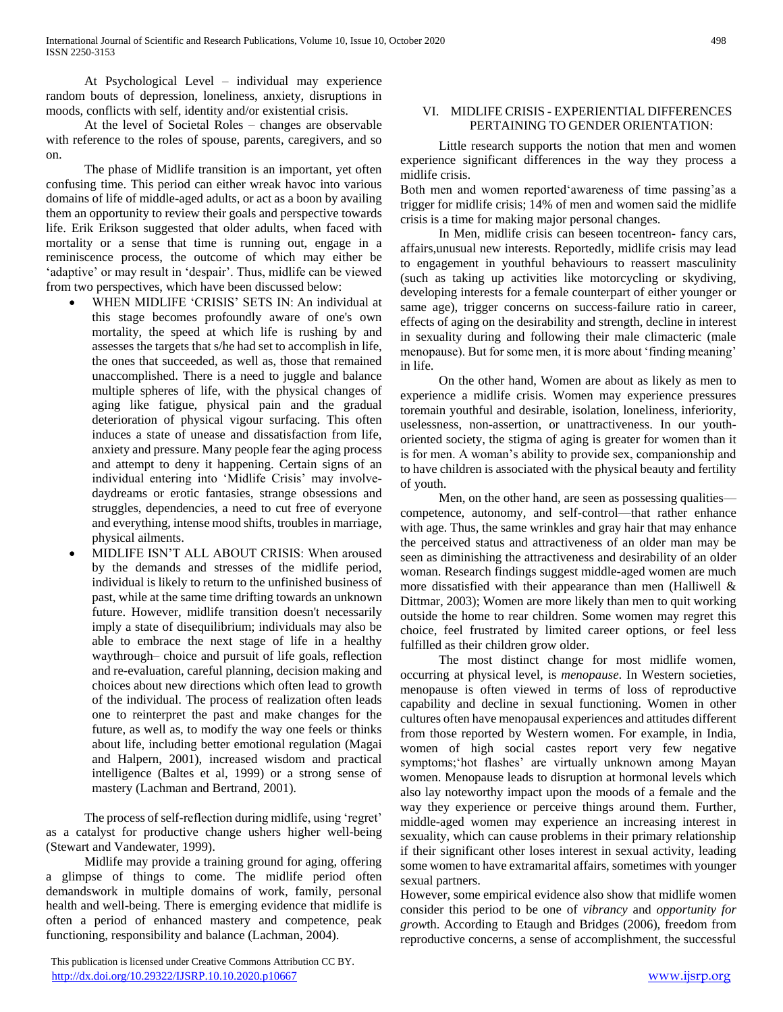At Psychological Level – individual may experience random bouts of depression, loneliness, anxiety, disruptions in moods, conflicts with self, identity and/or existential crisis.

 At the level of Societal Roles – changes are observable with reference to the roles of spouse, parents, caregivers, and so on.

 The phase of Midlife transition is an important, yet often confusing time. This period can either wreak havoc into various domains of life of middle-aged adults, or act as a boon by availing them an opportunity to review their goals and perspective towards life. Erik Erikson suggested that older adults, when faced with mortality or a sense that time is running out, engage in a reminiscence process, the outcome of which may either be 'adaptive' or may result in 'despair'. Thus, midlife can be viewed from two perspectives, which have been discussed below:

- WHEN MIDLIFE 'CRISIS' SETS IN: An individual at this stage becomes profoundly aware of one's own mortality, the speed at which life is rushing by and assesses the targets that s/he had set to accomplish in life, the ones that succeeded, as well as, those that remained unaccomplished. There is a need to juggle and balance multiple spheres of life, with the physical changes of aging like fatigue, physical pain and the gradual deterioration of physical vigour surfacing. This often induces a state of unease and dissatisfaction from life, anxiety and pressure. Many people fear the aging process and attempt to deny it happening. Certain signs of an individual entering into 'Midlife Crisis' may involvedaydreams or erotic fantasies, strange obsessions and struggles, dependencies, a need to cut free of everyone and everything, intense mood shifts, troubles in marriage, physical ailments.
- MIDLIFE ISN'T ALL ABOUT CRISIS: When aroused by the demands and stresses of the midlife period, individual is likely to return to the unfinished business of past, while at the same time drifting towards an unknown future. However, midlife transition doesn't necessarily imply a state of disequilibrium; individuals may also be able to embrace the next stage of life in a healthy waythrough– choice and pursuit of life goals, reflection and re-evaluation, careful planning, decision making and choices about new directions which often lead to growth of the individual. The process of realization often leads one to reinterpret the past and make changes for the future, as well as, to modify the way one feels or thinks about life, including better emotional regulation (Magai and Halpern, 2001), increased wisdom and practical intelligence (Baltes et al, 1999) or a strong sense of mastery (Lachman and Bertrand, 2001).

 The process of self-reflection during midlife, using 'regret' as a catalyst for productive change ushers higher well-being (Stewart and Vandewater, 1999).

 Midlife may provide a training ground for aging, offering a glimpse of things to come. The midlife period often demandswork in multiple domains of work, family, personal health and well-being. There is emerging evidence that midlife is often a period of enhanced mastery and competence, peak functioning, responsibility and balance (Lachman, 2004).

 This publication is licensed under Creative Commons Attribution CC BY. <http://dx.doi.org/10.29322/IJSRP.10.10.2020.p10667> [www.ijsrp.org](http://ijsrp.org/)

## VI. MIDLIFE CRISIS - EXPERIENTIAL DIFFERENCES PERTAINING TO GENDER ORIENTATION:

 Little research supports the notion that men and women experience significant differences in the way they process a midlife crisis.

Both men and women reported'awareness of time passing'as a trigger for midlife crisis; 14% of men and women said the midlife crisis is a time for making major personal changes.

 In Men, midlife crisis can beseen tocentreon- fancy cars, affairs,unusual new interests. Reportedly, midlife crisis may lead to engagement in youthful behaviours to reassert masculinity (such as taking up activities like motorcycling or skydiving, developing interests for a female counterpart of either younger or same age), trigger concerns on success-failure ratio in career, effects of aging on the desirability and strength, decline in interest in sexuality during and following their male climacteric (male menopause). But for some men, it is more about 'finding meaning' in life.

 On the other hand, Women are about as likely as men to experience a midlife crisis. Women may experience pressures toremain youthful and desirable, isolation, loneliness, inferiority, uselessness, non-assertion, or unattractiveness. In our youthoriented society, the stigma of aging is greater for women than it is for men. A woman's ability to provide sex, companionship and to have children is associated with the physical beauty and fertility of youth.

 Men, on the other hand, are seen as possessing qualities competence, autonomy, and self-control—that rather enhance with age. Thus, the same wrinkles and gray hair that may enhance the perceived status and attractiveness of an older man may be seen as diminishing the attractiveness and desirability of an older woman. Research findings suggest middle-aged women are much more dissatisfied with their appearance than men (Halliwell & Dittmar, 2003); Women are more likely than men to quit working outside the home to rear children. Some women may regret this choice, feel frustrated by limited career options, or feel less fulfilled as their children grow older.

 The most distinct change for most midlife women, occurring at physical level, is *menopause*. In Western societies, menopause is often viewed in terms of loss of reproductive capability and decline in sexual functioning. Women in other cultures often have menopausal experiences and attitudes different from those reported by Western women. For example, in India, women of high social castes report very few negative symptoms;'hot flashes' are virtually unknown among Mayan women. Menopause leads to disruption at hormonal levels which also lay noteworthy impact upon the moods of a female and the way they experience or perceive things around them. Further, middle-aged women may experience an increasing interest in sexuality, which can cause problems in their primary relationship if their significant other loses interest in sexual activity, leading some women to have extramarital affairs, sometimes with younger sexual partners.

However, some empirical evidence also show that midlife women consider this period to be one of *vibrancy* and *opportunity for grow*th. According to Etaugh and Bridges (2006), freedom from reproductive concerns, a sense of accomplishment, the successful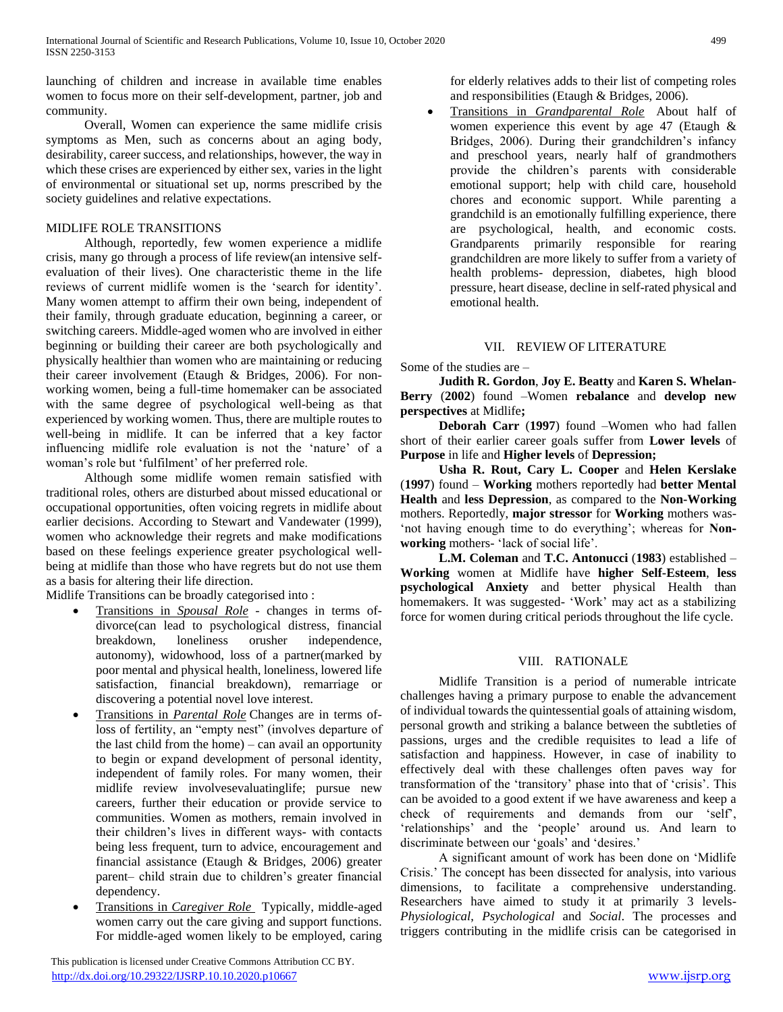launching of children and increase in available time enables women to focus more on their self-development, partner, job and community.

 Overall, Women can experience the same midlife crisis symptoms as Men, such as concerns about an aging body, desirability, career success, and relationships, however, the way in which these crises are experienced by either sex, varies in the light of environmental or situational set up, norms prescribed by the society guidelines and relative expectations.

# MIDLIFE ROLE TRANSITIONS

 Although, reportedly, few women experience a midlife crisis, many go through a process of life review(an intensive selfevaluation of their lives). One characteristic theme in the life reviews of current midlife women is the 'search for identity'. Many women attempt to affirm their own being, independent of their family, through graduate education, beginning a career, or switching careers. Middle-aged women who are involved in either beginning or building their career are both psychologically and physically healthier than women who are maintaining or reducing their career involvement (Etaugh & Bridges, 2006). For nonworking women, being a full-time homemaker can be associated with the same degree of psychological well-being as that experienced by working women. Thus, there are multiple routes to well-being in midlife. It can be inferred that a key factor influencing midlife role evaluation is not the 'nature' of a woman's role but 'fulfilment' of her preferred role.

 Although some midlife women remain satisfied with traditional roles, others are disturbed about missed educational or occupational opportunities, often voicing regrets in midlife about earlier decisions. According to Stewart and Vandewater (1999), women who acknowledge their regrets and make modifications based on these feelings experience greater psychological wellbeing at midlife than those who have regrets but do not use them as a basis for altering their life direction.

Midlife Transitions can be broadly categorised into :

- Transitions in *Spousal Role -* changes in terms ofdivorce(can lead to psychological distress, financial breakdown, loneliness orusher independence, autonomy), widowhood, loss of a partner(marked by poor mental and physical health, loneliness, lowered life satisfaction, financial breakdown), remarriage or discovering a potential novel love interest.
- Transitions in *Parental Role* Changes are in terms ofloss of fertility, an "empty nest" (involves departure of the last child from the home) – can avail an opportunity to begin or expand development of personal identity, independent of family roles. For many women, their midlife review involvesevaluatinglife; pursue new careers, further their education or provide service to communities. Women as mothers, remain involved in their children's lives in different ways- with contacts being less frequent, turn to advice, encouragement and financial assistance (Etaugh & Bridges, 2006) greater parent– child strain due to children's greater financial dependency.
- Transitions in *Caregiver Role* Typically, middle-aged women carry out the care giving and support functions. For middle-aged women likely to be employed, caring

 This publication is licensed under Creative Commons Attribution CC BY. <http://dx.doi.org/10.29322/IJSRP.10.10.2020.p10667> [www.ijsrp.org](http://ijsrp.org/)

for elderly relatives adds to their list of competing roles and responsibilities (Etaugh & Bridges, 2006).

 Transitions in *Grandparental Role* About half of women experience this event by age 47 (Etaugh & Bridges, 2006). During their grandchildren's infancy and preschool years, nearly half of grandmothers provide the children's parents with considerable emotional support; help with child care, household chores and economic support. While parenting a grandchild is an emotionally fulfilling experience, there are psychological, health, and economic costs. Grandparents primarily responsible for rearing grandchildren are more likely to suffer from a variety of health problems- depression, diabetes, high blood pressure, heart disease, decline in self-rated physical and emotional health.

# VII. REVIEW OF LITERATURE

Some of the studies are –

 **Judith R. Gordon**, **Joy E. Beatty** and **Karen S. Whelan-Berry** (**2002**) found –Women **rebalance** and **develop new perspectives** at Midlife**;**

 **Deborah Carr** (**1997**) found –Women who had fallen short of their earlier career goals suffer from **Lower levels** of **Purpose** in life and **Higher levels** of **Depression;**

 **Usha R. Rout, Cary L. Cooper** and **Helen Kerslake** (**1997**) found – **Working** mothers reportedly had **better Mental Health** and **less Depression**, as compared to the **Non-Working** mothers. Reportedly, **major stressor** for **Working** mothers was- 'not having enough time to do everything'; whereas for **Non‐ working** mothers- 'lack of social life'.

 **L.M. Coleman** and **T.C. Antonucci** (**1983**) established – **Working** women at Midlife have **higher Self-Esteem**, **less psychological Anxiety** and better physical Health than homemakers. It was suggested- 'Work' may act as a stabilizing force for women during critical periods throughout the life cycle.

# VIII. RATIONALE

 Midlife Transition is a period of numerable intricate challenges having a primary purpose to enable the advancement of individual towards the quintessential goals of attaining wisdom, personal growth and striking a balance between the subtleties of passions, urges and the credible requisites to lead a life of satisfaction and happiness. However, in case of inability to effectively deal with these challenges often paves way for transformation of the 'transitory' phase into that of 'crisis'. This can be avoided to a good extent if we have awareness and keep a check of requirements and demands from our 'self', 'relationships' and the 'people' around us. And learn to discriminate between our 'goals' and 'desires.'

 A significant amount of work has been done on 'Midlife Crisis.' The concept has been dissected for analysis, into various dimensions, to facilitate a comprehensive understanding. Researchers have aimed to study it at primarily 3 levels-*Physiological*, *Psychological* and *Social*. The processes and triggers contributing in the midlife crisis can be categorised in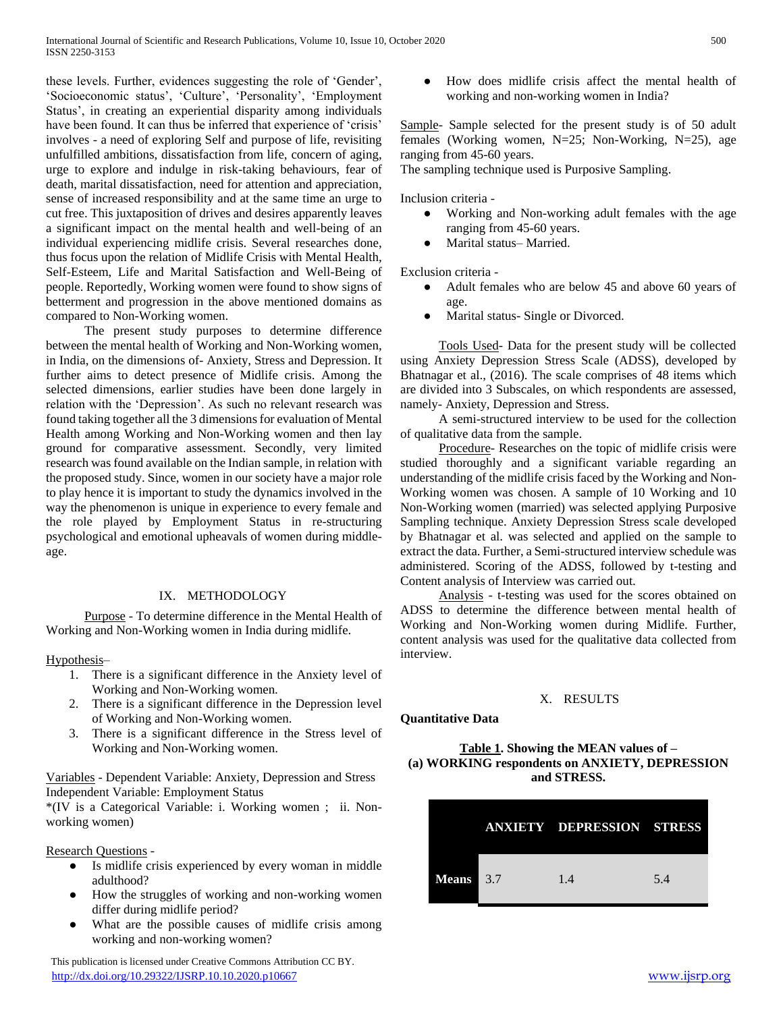these levels. Further, evidences suggesting the role of 'Gender', 'Socioeconomic status', 'Culture', 'Personality', 'Employment Status', in creating an experiential disparity among individuals have been found. It can thus be inferred that experience of 'crisis' involves - a need of exploring Self and purpose of life, revisiting unfulfilled ambitions, dissatisfaction from life, concern of aging, urge to explore and indulge in risk-taking behaviours, fear of death, marital dissatisfaction, need for attention and appreciation, sense of increased responsibility and at the same time an urge to cut free. This juxtaposition of drives and desires apparently leaves a significant impact on the mental health and well-being of an individual experiencing midlife crisis. Several researches done, thus focus upon the relation of Midlife Crisis with Mental Health, Self-Esteem, Life and Marital Satisfaction and Well-Being of people. Reportedly, Working women were found to show signs of betterment and progression in the above mentioned domains as compared to Non-Working women.

 The present study purposes to determine difference between the mental health of Working and Non-Working women, in India, on the dimensions of- Anxiety, Stress and Depression. It further aims to detect presence of Midlife crisis. Among the selected dimensions, earlier studies have been done largely in relation with the 'Depression'. As such no relevant research was found taking together all the 3 dimensions for evaluation of Mental Health among Working and Non-Working women and then lay ground for comparative assessment. Secondly, very limited research was found available on the Indian sample, in relation with the proposed study. Since, women in our society have a major role to play hence it is important to study the dynamics involved in the way the phenomenon is unique in experience to every female and the role played by Employment Status in re-structuring psychological and emotional upheavals of women during middleage.

## IX. METHODOLOGY

 Purpose - To determine difference in the Mental Health of Working and Non-Working women in India during midlife.

Hypothesis–

- 1. There is a significant difference in the Anxiety level of Working and Non-Working women.
- 2. There is a significant difference in the Depression level of Working and Non-Working women.
- 3. There is a significant difference in the Stress level of Working and Non-Working women.

Variables - Dependent Variable: Anxiety, Depression and Stress Independent Variable: Employment Status

\*(IV is a Categorical Variable: i. Working women ; ii. Nonworking women)

#### Research Questions -

- Is midlife crisis experienced by every woman in middle adulthood?
- How the struggles of working and non-working women differ during midlife period?
- What are the possible causes of midlife crisis among working and non-working women?

 This publication is licensed under Creative Commons Attribution CC BY. <http://dx.doi.org/10.29322/IJSRP.10.10.2020.p10667> [www.ijsrp.org](http://ijsrp.org/)

● How does midlife crisis affect the mental health of working and non-working women in India?

Sample- Sample selected for the present study is of 50 adult females (Working women, N=25; Non-Working, N=25), age ranging from 45-60 years.

The sampling technique used is Purposive Sampling.

Inclusion criteria -

- Working and Non-working adult females with the age ranging from 45-60 years.
- Marital status– Married.

Exclusion criteria -

- Adult females who are below 45 and above 60 years of age.
- Marital status- Single or Divorced.

 Tools Used- Data for the present study will be collected using Anxiety Depression Stress Scale (ADSS), developed by Bhatnagar et al., (2016). The scale comprises of 48 items which are divided into 3 Subscales, on which respondents are assessed, namely- Anxiety, Depression and Stress.

 A semi-structured interview to be used for the collection of qualitative data from the sample.

 Procedure- Researches on the topic of midlife crisis were studied thoroughly and a significant variable regarding an understanding of the midlife crisis faced by the Working and Non-Working women was chosen. A sample of 10 Working and 10 Non-Working women (married) was selected applying Purposive Sampling technique. Anxiety Depression Stress scale developed by Bhatnagar et al. was selected and applied on the sample to extract the data. Further, a Semi-structured interview schedule was administered. Scoring of the ADSS, followed by t-testing and Content analysis of Interview was carried out.

 Analysis - t-testing was used for the scores obtained on ADSS to determine the difference between mental health of Working and Non-Working women during Midlife. Further, content analysis was used for the qualitative data collected from interview.

#### X. RESULTS

#### **Quantitative Data**

### **Table 1. Showing the MEAN values of – (a) WORKING respondents on ANXIETY, DEPRESSION and STRESS.**

|           | <b>ANXIETY DEPRESSION STRESS</b> |     |
|-----------|----------------------------------|-----|
| Means 3.7 | 1.4                              | 5.4 |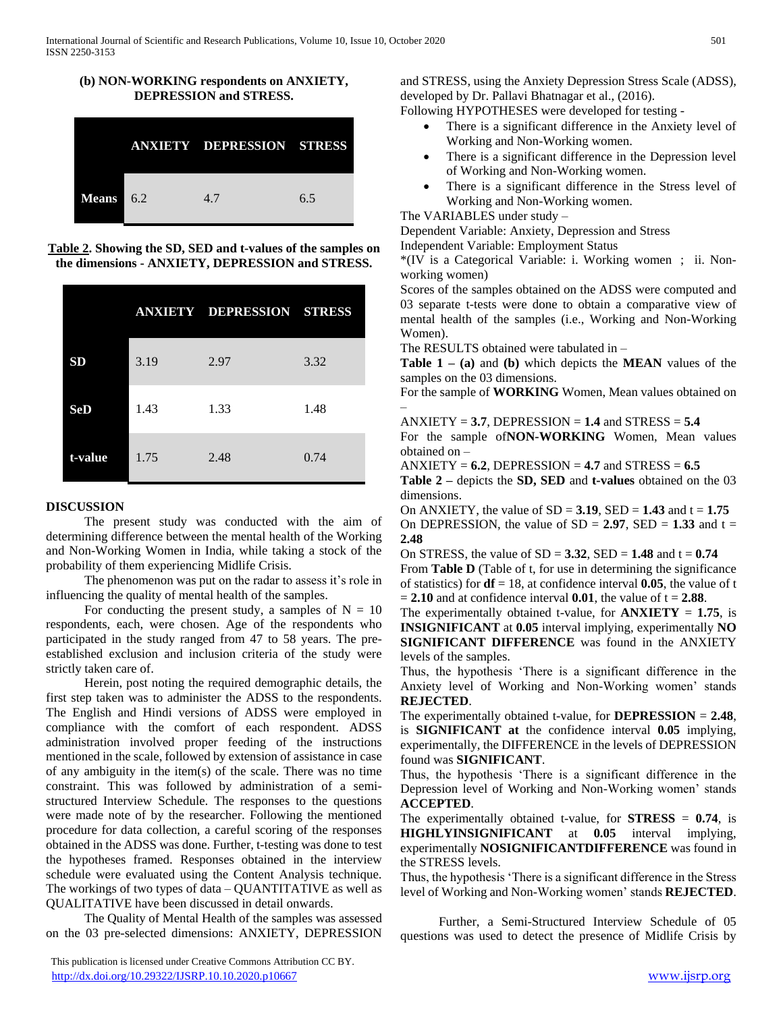

**(b) NON-WORKING respondents on ANXIETY,** 

**Table 2. Showing the SD, SED and t-values of the samples on the dimensions - ANXIETY, DEPRESSION and STRESS.**

|            |      | <b>ANXIETY DEPRESSION STRESS</b> |      |
|------------|------|----------------------------------|------|
| <b>SD</b>  | 3.19 | 2.97                             | 3.32 |
| <b>SeD</b> | 1.43 | 1.33                             | 1.48 |
| t-value    | 1.75 | 2.48                             | 0.74 |

#### **DISCUSSION**

 The present study was conducted with the aim of determining difference between the mental health of the Working and Non-Working Women in India, while taking a stock of the probability of them experiencing Midlife Crisis.

 The phenomenon was put on the radar to assess it's role in influencing the quality of mental health of the samples.

For conducting the present study, a samples of  $N = 10$ respondents, each, were chosen. Age of the respondents who participated in the study ranged from 47 to 58 years. The preestablished exclusion and inclusion criteria of the study were strictly taken care of.

 Herein, post noting the required demographic details, the first step taken was to administer the ADSS to the respondents. The English and Hindi versions of ADSS were employed in compliance with the comfort of each respondent. ADSS administration involved proper feeding of the instructions mentioned in the scale, followed by extension of assistance in case of any ambiguity in the item(s) of the scale. There was no time constraint. This was followed by administration of a semistructured Interview Schedule. The responses to the questions were made note of by the researcher. Following the mentioned procedure for data collection, a careful scoring of the responses obtained in the ADSS was done. Further, t-testing was done to test the hypotheses framed. Responses obtained in the interview schedule were evaluated using the Content Analysis technique. The workings of two types of data – QUANTITATIVE as well as QUALITATIVE have been discussed in detail onwards.

 The Quality of Mental Health of the samples was assessed on the 03 pre-selected dimensions: ANXIETY, DEPRESSION and STRESS, using the Anxiety Depression Stress Scale (ADSS), developed by Dr. Pallavi Bhatnagar et al., (2016).

Following HYPOTHESES were developed for testing -

- There is a significant difference in the Anxiety level of Working and Non-Working women.
- There is a significant difference in the Depression level of Working and Non-Working women.
- There is a significant difference in the Stress level of Working and Non-Working women.

The VARIABLES under study –

Dependent Variable: Anxiety, Depression and Stress

Independent Variable: Employment Status

\*(IV is a Categorical Variable: i. Working women ; ii. Nonworking women)

Scores of the samples obtained on the ADSS were computed and 03 separate t-tests were done to obtain a comparative view of mental health of the samples (i.e., Working and Non-Working Women).

The RESULTS obtained were tabulated in –

**Table 1 – (a)** and **(b)** which depicts the **MEAN** values of the samples on the 03 dimensions.

For the sample of **WORKING** Women, Mean values obtained on –

 $ANXIETY = 3.7$ , DEPRESSION = 1.4 and STRESS = 5.4

For the sample of**NON-WORKING** Women, Mean values obtained on –

 $ANXIETY = 6.2$ , DEPRESSION = 4.7 and STRESS =  $6.5$ 

**Table 2 –** depicts the **SD, SED** and **t-values** obtained on the 03 dimensions.

On ANXIETY, the value of  $SD = 3.19$ ,  $SED = 1.43$  and  $t = 1.75$ On DEPRESSION, the value of  $SD = 2.97$ ,  $SED = 1.33$  and  $t =$ **2.48**

On STRESS, the value of  $SD = 3.32$ ,  $SED = 1.48$  and  $t = 0.74$ From **Table D** (Table of t, for use in determining the significance of statistics) for  $df = 18$ , at confidence interval **0.05**, the value of t  $= 2.10$  and at confidence interval  $0.01$ , the value of  $t = 2.88$ .

The experimentally obtained t-value, for  $ANXIETY = 1.75$ , is **INSIGNIFICANT** at **0.05** interval implying, experimentally **NO SIGNIFICANT DIFFERENCE** was found in the ANXIETY levels of the samples.

Thus, the hypothesis 'There is a significant difference in the Anxiety level of Working and Non-Working women' stands **REJECTED**.

The experimentally obtained t-value, for **DEPRESSION** = **2.48**, is **SIGNIFICANT at** the confidence interval **0.05** implying, experimentally, the DIFFERENCE in the levels of DEPRESSION found was **SIGNIFICANT**.

Thus, the hypothesis 'There is a significant difference in the Depression level of Working and Non-Working women' stands **ACCEPTED**.

The experimentally obtained t-value, for **STRESS** = **0.74**, is **HIGHLYINSIGNIFICANT** at **0.05** interval implying, experimentally **NOSIGNIFICANTDIFFERENCE** was found in the STRESS levels.

Thus, the hypothesis 'There is a significant difference in the Stress level of Working and Non-Working women' stands **REJECTED**.

 Further, a Semi-Structured Interview Schedule of 05 questions was used to detect the presence of Midlife Crisis by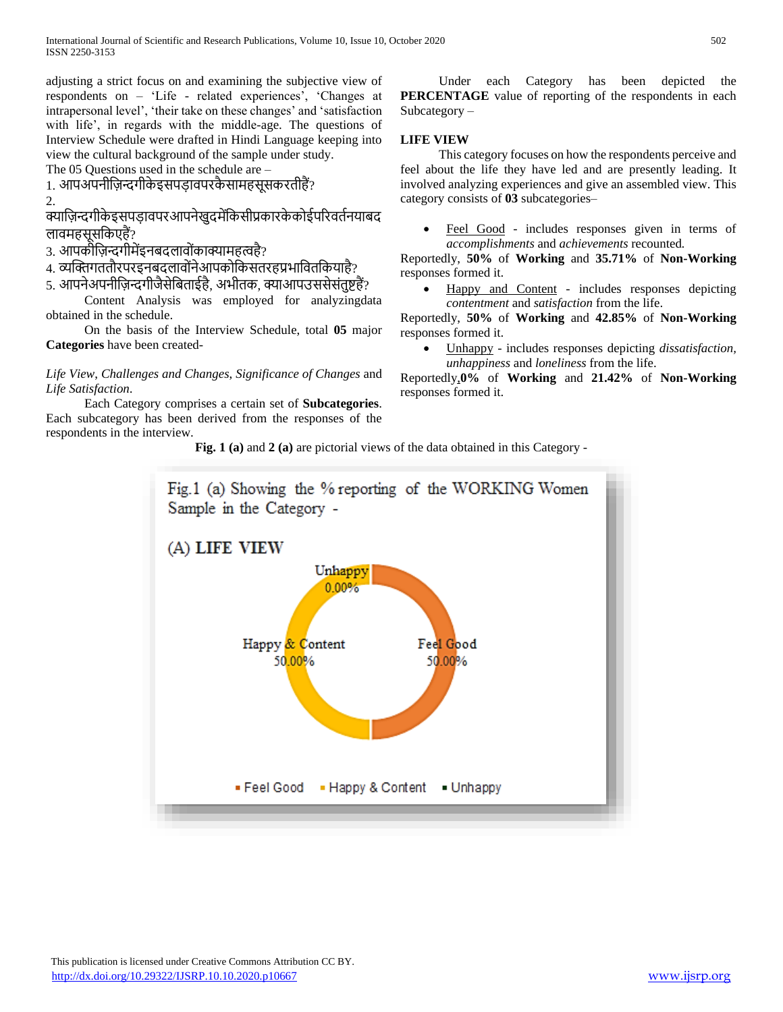adjusting a strict focus on and examining the subjective view of respondents on – 'Life - related experiences', 'Changes at intrapersonal level', 'their take on these changes' and 'satisfaction with life', in regards with the middle-age. The questions of Interview Schedule were drafted in Hindi Language keeping into view the cultural background of the sample under study.

The 05 Questions used in the schedule are –

1. आपअपनीज़िन्दगीके इसपड़ावपरकै स़ामहसूसकरतीहैं? 2.

क्याज़िन्दगीकेइसपड़ावपरआपनेखुदमेंकिसीप्रकारकेकोईपरिवर्तनयाबद लावमहसूसकिएहैं?

3. आपकीज़िन्दगीमेंइनबदल़ावोोंक़ाक्य़ामहत्वहै?

4. व्यक्तिगततौरपरइनबदलावोंनेआपकोकिसतरहप्रभावितकियाहै?

5. आपनेअपनीज़िन्दगीजैसेबिताईहै, अभीतक, क्याआपउससेसंतुष्टहैं?

 Content Analysis was employed for analyzingdata obtained in the schedule.

 On the basis of the Interview Schedule, total **05** major **Categories** have been created-

*Life View*, *Challenges and Changes*, *Significance of Changes* and *Life Satisfaction*.

 Each Category comprises a certain set of **Subcategories**. Each subcategory has been derived from the responses of the respondents in the interview.

 Under each Category has been depicted the **PERCENTAGE** value of reporting of the respondents in each Subcategory –

## **LIFE VIEW**

 This category focuses on how the respondents perceive and feel about the life they have led and are presently leading. It involved analyzing experiences and give an assembled view. This category consists of **03** subcategories–

 Feel Good - includes responses given in terms of *accomplishments* and *achievements* recounted*.* 

Reportedly, **50%** of **Working** and **35.71%** of **Non-Working** responses formed it.

 Happy and Content - includes responses depicting *contentment* and *satisfaction* from the life.

Reportedly, **50%** of **Working** and **42.85%** of **Non-Working**  responses formed it.

 Unhappy - includes responses depicting *dissatisfaction, unhappiness* and *loneliness* from the life.

Reportedly,**0%** of **Working** and **21.42%** of **Non-Working** responses formed it.

**Fig. 1 (a)** and **2 (a)** are pictorial views of the data obtained in this Category -

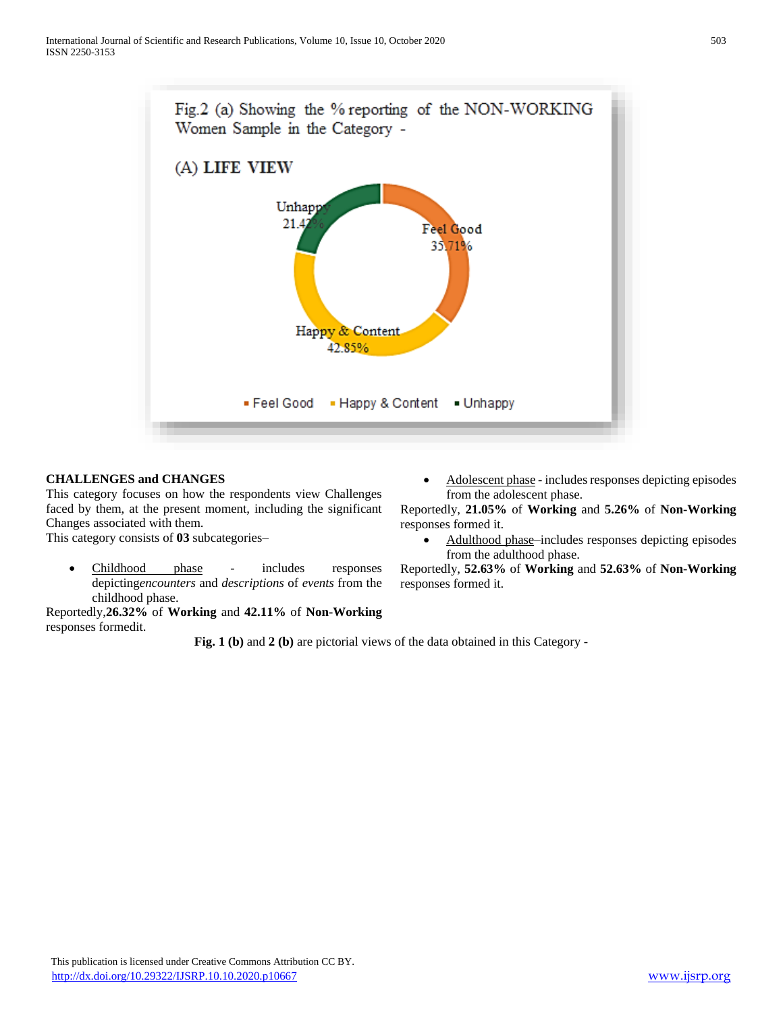

## **CHALLENGES and CHANGES**

This category focuses on how the respondents view Challenges faced by them, at the present moment, including the significant Changes associated with them.

This category consists of **03** subcategories–

 Childhood phase - includes responses depicting*encounters* and *descriptions* of *events* from the childhood phase.

Reportedly,**26.32%** of **Working** and **42.11%** of **Non-Working** responses formedit.

 Adolescent phase - includes responses depicting episodes from the adolescent phase.

Reportedly, **21.05%** of **Working** and **5.26%** of **Non-Working** responses formed it.

 Adulthood phase–includes responses depicting episodes from the adulthood phase.

Reportedly, **52.63%** of **Working** and **52.63%** of **Non-Working** responses formed it.

**Fig. 1 (b)** and **2 (b)** are pictorial views of the data obtained in this Category -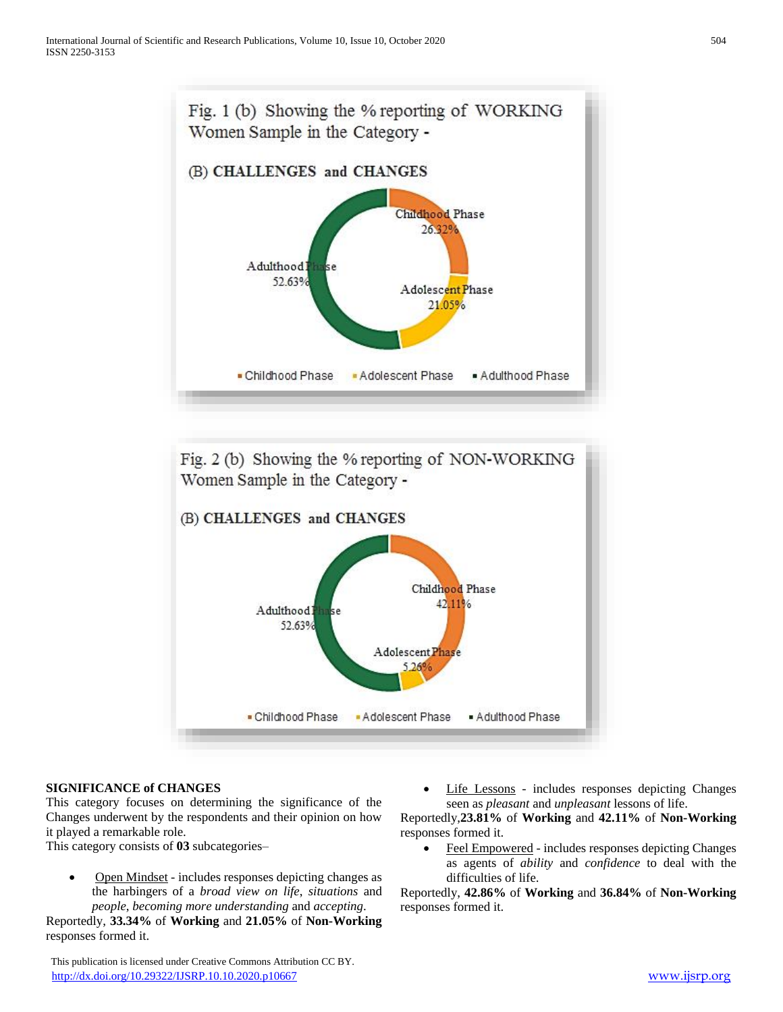



# **SIGNIFICANCE of CHANGES**

This category focuses on determining the significance of the Changes underwent by the respondents and their opinion on how it played a remarkable role.

This category consists of **03** subcategories–

 Open Mindset - includes responses depicting changes as the harbingers of a *broad view on life*, *situations* and *people*, *becoming more understanding* and *accepting*.

Reportedly, **33.34%** of **Working** and **21.05%** of **Non-Working**  responses formed it.

 This publication is licensed under Creative Commons Attribution CC BY. <http://dx.doi.org/10.29322/IJSRP.10.10.2020.p10667> [www.ijsrp.org](http://ijsrp.org/)

 Life Lessons - includes responses depicting Changes seen as *pleasant* and *unpleasant* lessons of life.

Reportedly,**23.81%** of **Working** and **42.11%** of **Non-Working**  responses formed it.

 Feel Empowered - includes responses depicting Changes as agents of *ability* and *confidence* to deal with the difficulties of life.

Reportedly, **42.86%** of **Working** and **36.84%** of **Non-Working**  responses formed it.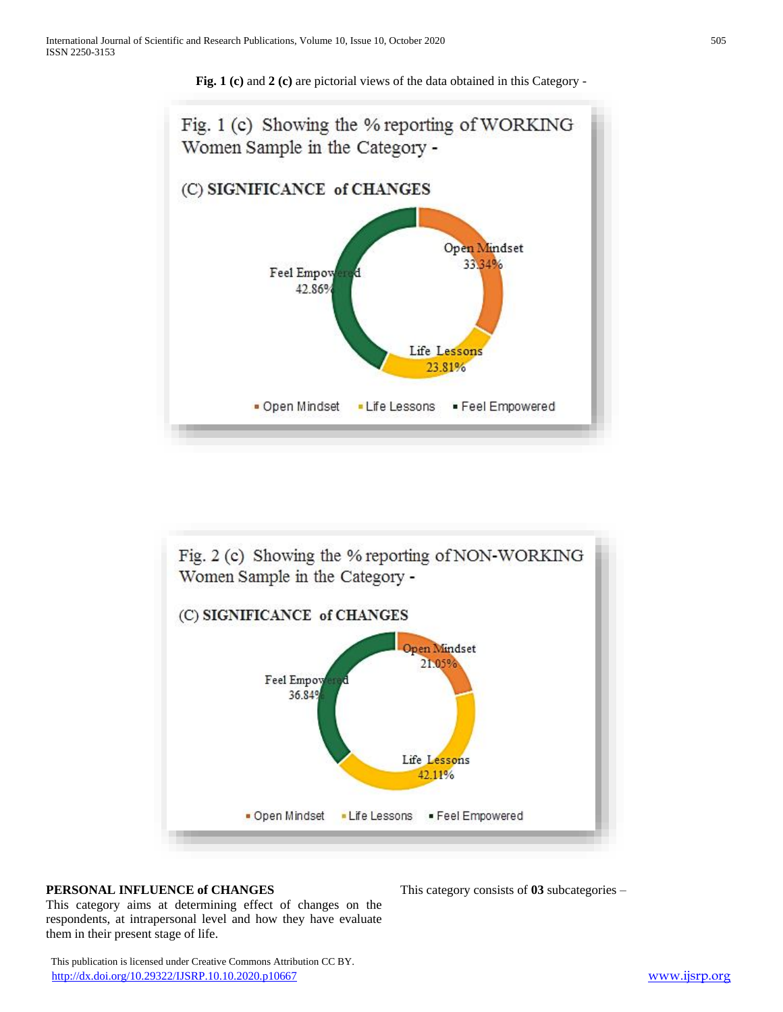

**Fig. 1 (c)** and **2 (c)** are pictorial views of the data obtained in this Category -



#### **PERSONAL INFLUENCE of CHANGES**

This category aims at determining effect of changes on the respondents, at intrapersonal level and how they have evaluate them in their present stage of life.

This category consists of **03** subcategories –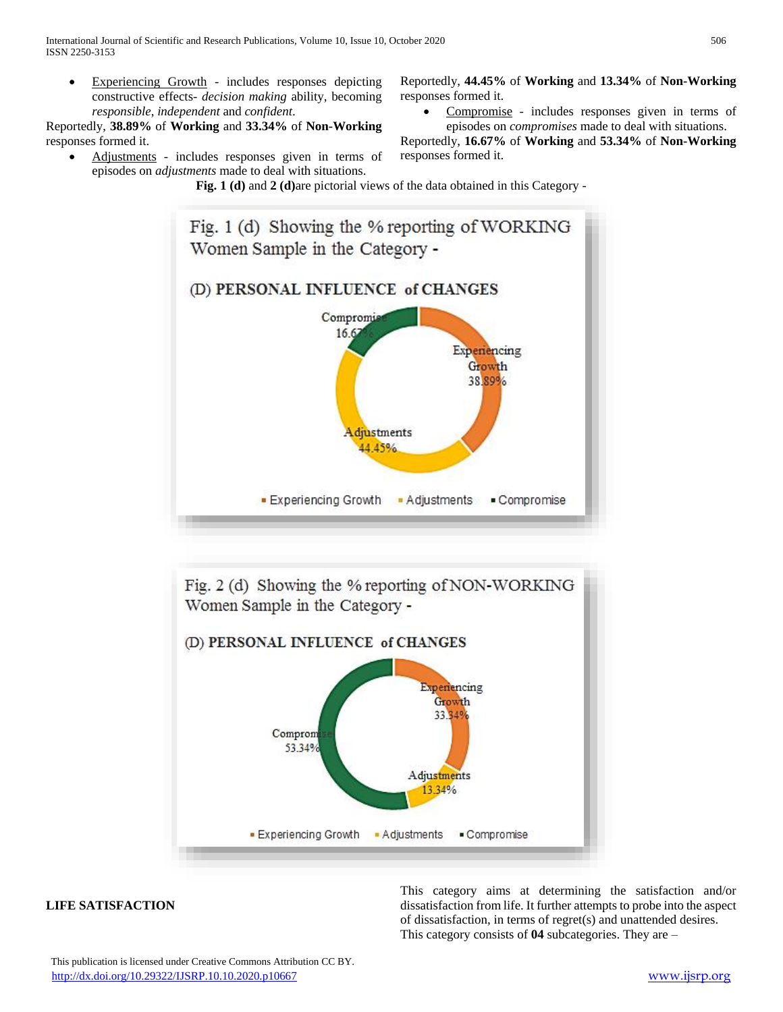Experiencing Growth - includes responses depicting constructive effects- *decision making* ability, becoming *responsible*, *independent* and *confident*.

Reportedly, **38.89%** of **Working** and **33.34%** of **Non-Working**  responses formed it.

 Adjustments - includes responses given in terms of episodes on *adjustments* made to deal with situations.

Reportedly, **44.45%** of **Working** and **13.34%** of **Non-Working**  responses formed it.

 Compromise - includes responses given in terms of episodes on *compromises* made to deal with situations.

Reportedly, **16.67%** of **Working** and **53.34%** of **Non-Working** responses formed it.

**Fig. 1 (d)** and **2 (d)**are pictorial views of the data obtained in this Category -





## **LIFE SATISFACTION**

This category aims at determining the satisfaction and/or dissatisfaction from life. It further attempts to probe into the aspect of dissatisfaction, in terms of regret(s) and unattended desires. This category consists of **04** subcategories. They are –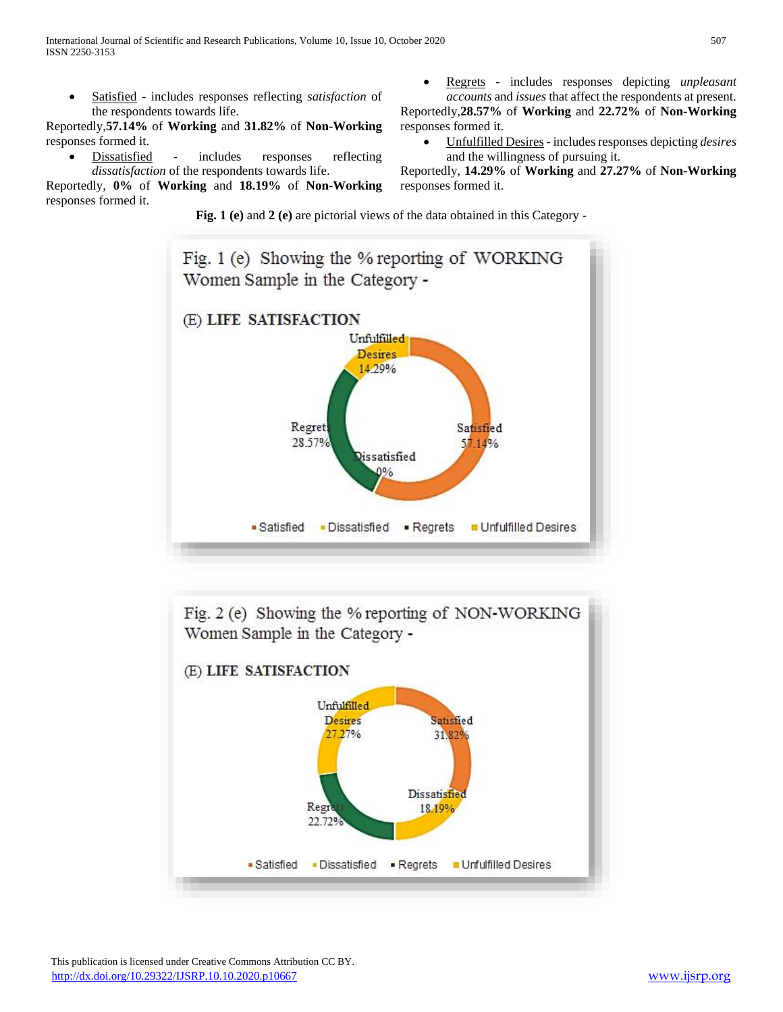Satisfied - includes responses reflecting *satisfaction* of the respondents towards life.

Reportedly,**57.14%** of **Working** and **31.82%** of **Non-Working**  responses formed it.

 Dissatisfied - includes responses reflecting *dissatisfaction* of the respondents towards life.

Reportedly, **0%** of **Working** and **18.19%** of **Non-Working**  responses formed it.

 Regrets - includes responses depicting *unpleasant accounts* and *issues* that affect the respondents at present.

Reportedly,**28.57%** of **Working** and **22.72%** of **Non-Working**  responses formed it.

 Unfulfilled Desires- includes responses depicting *desires*  and the willingness of pursuing it.

Reportedly, **14.29%** of **Working** and **27.27%** of **Non-Working**  responses formed it.

**Fig. 1 (e)** and **2 (e)** are pictorial views of the data obtained in this Category -



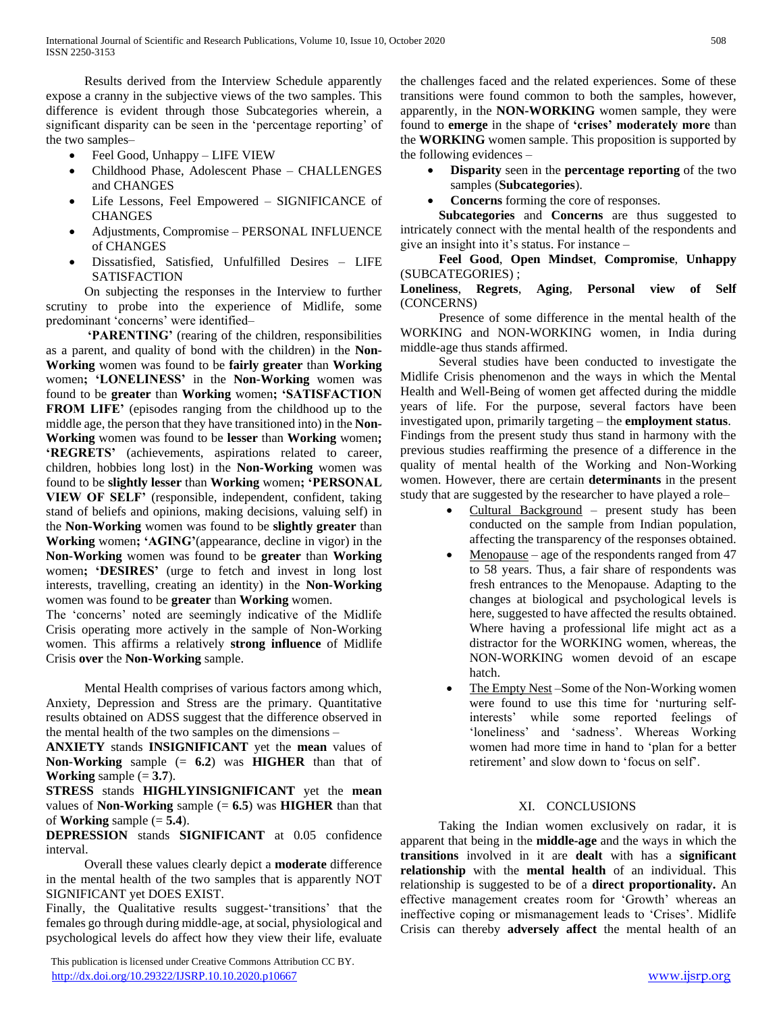Results derived from the Interview Schedule apparently expose a cranny in the subjective views of the two samples. This difference is evident through those Subcategories wherein, a significant disparity can be seen in the 'percentage reporting' of the two samples–

- Feel Good, Unhappy LIFE VIEW
- Childhood Phase, Adolescent Phase CHALLENGES and CHANGES
- Life Lessons, Feel Empowered SIGNIFICANCE of **CHANGES**
- Adjustments, Compromise PERSONAL INFLUENCE of CHANGES
- Dissatisfied, Satisfied, Unfulfilled Desires LIFE SATISFACTION

 On subjecting the responses in the Interview to further scrutiny to probe into the experience of Midlife, some predominant 'concerns' were identified–

 **'PARENTING'** (rearing of the children, responsibilities as a parent, and quality of bond with the children) in the **Non-Working** women was found to be **fairly greater** than **Working** women**; 'LONELINESS'** in the **Non-Working** women was found to be **greater** than **Working** women**; 'SATISFACTION FROM LIFE'** (episodes ranging from the childhood up to the middle age, the person that they have transitioned into) in the **Non-Working** women was found to be **lesser** than **Working** women**; 'REGRETS'** (achievements, aspirations related to career, children, hobbies long lost) in the **Non-Working** women was found to be **slightly lesser** than **Working** women**; 'PERSONAL VIEW OF SELF'** (responsible, independent, confident, taking stand of beliefs and opinions, making decisions, valuing self) in the **Non-Working** women was found to be **slightly greater** than **Working** women**; 'AGING'**(appearance, decline in vigor) in the **Non-Working** women was found to be **greater** than **Working** women**; 'DESIRES'** (urge to fetch and invest in long lost interests, travelling, creating an identity) in the **Non-Working** women was found to be **greater** than **Working** women.

The 'concerns' noted are seemingly indicative of the Midlife Crisis operating more actively in the sample of Non-Working women. This affirms a relatively **strong influence** of Midlife Crisis **over** the **Non-Working** sample.

 Mental Health comprises of various factors among which, Anxiety, Depression and Stress are the primary. Quantitative results obtained on ADSS suggest that the difference observed in the mental health of the two samples on the dimensions –

**ANXIETY** stands **INSIGNIFICANT** yet the **mean** values of **Non-Working** sample (= **6.2**) was **HIGHER** than that of **Working** sample  $(= 3.7)$ .

**STRESS** stands **HIGHLYINSIGNIFICANT** yet the **mean** values of **Non-Working** sample  $(= 6.5)$  was **HIGHER** than that of **Working** sample  $(= 5.4)$ .

**DEPRESSION** stands **SIGNIFICANT** at 0.05 confidence interval.

 Overall these values clearly depict a **moderate** difference in the mental health of the two samples that is apparently NOT SIGNIFICANT yet DOES EXIST.

Finally, the Qualitative results suggest-'transitions' that the females go through during middle-age, at social, physiological and psychological levels do affect how they view their life, evaluate

 This publication is licensed under Creative Commons Attribution CC BY. <http://dx.doi.org/10.29322/IJSRP.10.10.2020.p10667> [www.ijsrp.org](http://ijsrp.org/)

the challenges faced and the related experiences. Some of these transitions were found common to both the samples, however, apparently, in the **NON-WORKING** women sample, they were found to **emerge** in the shape of **'crises' moderately more** than the **WORKING** women sample. This proposition is supported by the following evidences –

- **Disparity** seen in the **percentage reporting** of the two samples (**Subcategories**).
- **Concerns** forming the core of responses.

 **Subcategories** and **Concerns** are thus suggested to intricately connect with the mental health of the respondents and give an insight into it's status. For instance –

 **Feel Good**, **Open Mindset**, **Compromise**, **Unhappy** (SUBCATEGORIES) ;

### **Loneliness**, **Regrets**, **Aging**, **Personal view of Self** (CONCERNS)

 Presence of some difference in the mental health of the WORKING and NON-WORKING women, in India during middle-age thus stands affirmed.

 Several studies have been conducted to investigate the Midlife Crisis phenomenon and the ways in which the Mental Health and Well-Being of women get affected during the middle years of life. For the purpose, several factors have been investigated upon, primarily targeting – the **employment status**. Findings from the present study thus stand in harmony with the previous studies reaffirming the presence of a difference in the quality of mental health of the Working and Non-Working women. However, there are certain **determinants** in the present study that are suggested by the researcher to have played a role–

- Cultural Background present study has been conducted on the sample from Indian population, affecting the transparency of the responses obtained.
- Menopause age of the respondents ranged from 47 to 58 years. Thus, a fair share of respondents was fresh entrances to the Menopause. Adapting to the changes at biological and psychological levels is here, suggested to have affected the results obtained. Where having a professional life might act as a distractor for the WORKING women, whereas, the NON-WORKING women devoid of an escape hatch.
- The Empty Nest –Some of the Non-Working women were found to use this time for 'nurturing selfinterests' while some reported feelings of 'loneliness' and 'sadness'. Whereas Working women had more time in hand to 'plan for a better retirement' and slow down to 'focus on self'.

# XI. CONCLUSIONS

 Taking the Indian women exclusively on radar, it is apparent that being in the **middle-age** and the ways in which the **transitions** involved in it are **dealt** with has a **significant relationship** with the **mental health** of an individual. This relationship is suggested to be of a **direct proportionality.** An effective management creates room for 'Growth' whereas an ineffective coping or mismanagement leads to 'Crises'. Midlife Crisis can thereby **adversely affect** the mental health of an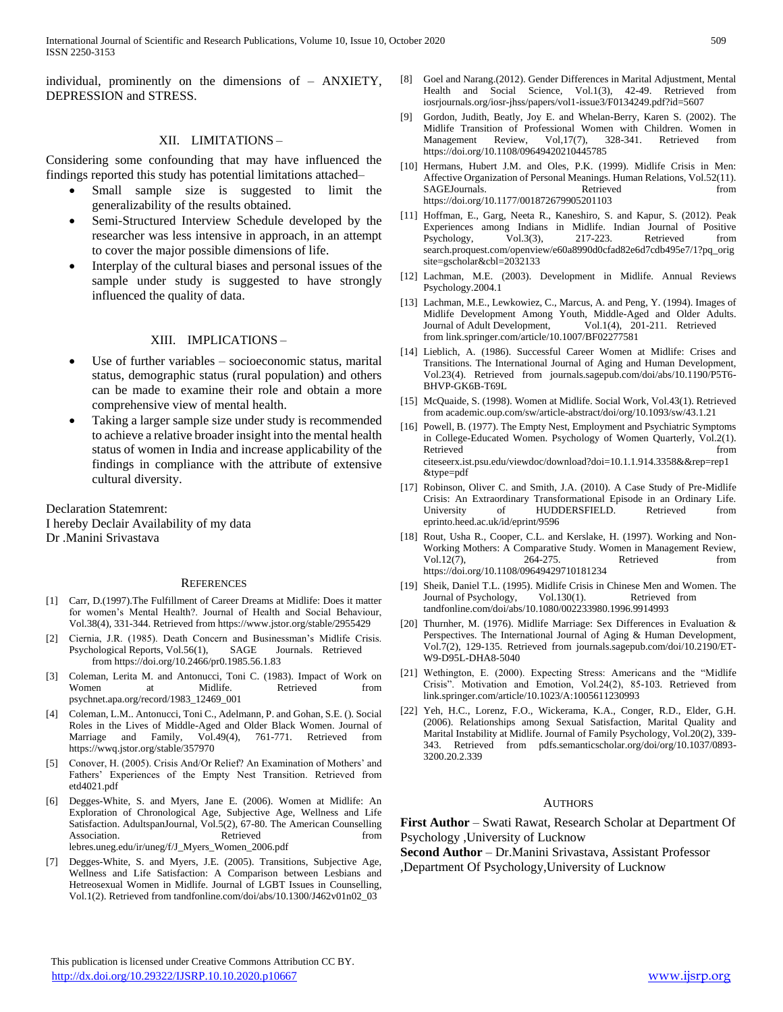individual, prominently on the dimensions of – ANXIETY, DEPRESSION and STRESS.

#### XII. LIMITATIONS –

Considering some confounding that may have influenced the findings reported this study has potential limitations attached–

- Small sample size is suggested to limit the generalizability of the results obtained.
- Semi-Structured Interview Schedule developed by the researcher was less intensive in approach, in an attempt to cover the major possible dimensions of life.
- Interplay of the cultural biases and personal issues of the sample under study is suggested to have strongly influenced the quality of data.

#### XIII. IMPLICATIONS –

- Use of further variables socioeconomic status, marital status, demographic status (rural population) and others can be made to examine their role and obtain a more comprehensive view of mental health.
- Taking a larger sample size under study is recommended to achieve a relative broader insight into the mental health status of women in India and increase applicability of the findings in compliance with the attribute of extensive cultural diversity.

Declaration Statemrent: I hereby Declair Availability of my data Dr .Manini Srivastava

#### **REFERENCES**

- [1] Carr, D.(1997).The Fulfillment of Career Dreams at Midlife: Does it matter for women's Mental Health?. Journal of Health and Social Behaviour, Vol.38(4), 331-344. Retrieved from https://www.jstor.org/stable/2955429
- [2] Ciernia, J.R. (1985). Death Concern and Businessman's Midlife Crisis. Psychological Reports, Vol.56(1), SAGE Journals. Retrieved from https://doi.org/10.2466/pr0.1985.56.1.83
- [3] Coleman, Lerita M. and Antonucci, Toni C. (1983). Impact of Work on Women at Midlife. Retrieved from psychnet.apa.org/record/1983\_12469\_001
- [4] Coleman, L.M.. Antonucci, Toni C., Adelmann, P. and Gohan, S.E. (). Social Roles in the Lives of Middle-Aged and Older Black Women. Journal of Marriage and Family, Vol.49(4), 761-771. Retrieved from https://wwq.jstor.org/stable/357970
- [5] Conover, H. (2005). Crisis And/Or Relief? An Examination of Mothers' and Fathers' Experiences of the Empty Nest Transition. Retrieved from etd4021.pdf
- [6] Degges-White, S. and Myers, Jane E. (2006). Women at Midlife: An Exploration of Chronological Age, Subjective Age, Wellness and Life Satisfaction. AdultspanJournal, Vol.5(2), 67-80. The American Counselling Association. Retrieved from lebres.uneg.edu/ir/uneg/f/J\_Myers\_Women\_2006.pdf
- [7] Degges-White, S. and Myers, J.E. (2005). Transitions, Subjective Age, Wellness and Life Satisfaction: A Comparison between Lesbians and Hetreosexual Women in Midlife. Journal of LGBT Issues in Counselling, Vol.1(2). Retrieved from tandfonline.com/doi/abs/10.1300/J462v01n02\_03
- [8] Goel and Narang.(2012). Gender Differences in Marital Adjustment, Mental Health and Social Science, Vol.1(3), 42-49. Retrieved from iosrjournals.org/iosr-jhss/papers/vol1-issue3/F0134249.pdf?id=5607
- Gordon, Judith, Beatly, Joy E. and Whelan-Berry, Karen S. (2002). The Midlife Transition of Professional Women with Children. Women in Management Review, Vol,17(7), 328-341. Retrieved from https://doi.org/10.1108/09649420210445785
- [10] Hermans, Hubert J.M. and Oles, P.K. (1999). Midlife Crisis in Men: Affective Organization of Personal Meanings. Human Relations, Vol.52(11).<br>SAGEJournals. Retrieved from SAGEJournals. Retrieved from Reduced from the Reduced from  $\mathbb{R}$ https://doi.org/10.1177/001872679905201103
- [11] Hoffman, E., Garg, Neeta R., Kaneshiro, S. and Kapur, S. (2012). Peak Experiences among Indians in Midlife. Indian Journal of Positive Psychology, Vol.3(3), 217-223. Retrieved from search.proquest.com/openview/e60a8990d0cfad82e6d7cdb495e7/1?pq\_orig site=gscholar&cbl=2032133
- [12] Lachman, M.E. (2003). Development in Midlife. Annual Reviews Psychology.2004.1
- [13] Lachman, M.E., Lewkowiez, C., Marcus, A. and Peng, Y. (1994). Images of Midlife Development Among Youth, Middle-Aged and Older Adults. Journal of Adult Development, Vol.1(4), 201-211. Retrieved from link.springer.com/article/10.1007/BF02277581
- [14] Lieblich, A. (1986). Successful Career Women at Midlife: Crises and Transitions. The International Journal of Aging and Human Development, Vol.23(4). Retrieved from journals.sagepub.com/doi/abs/10.1190/P5T6- BHVP-GK6B-T69L
- [15] McQuaide, S. (1998). Women at Midlife. Social Work, Vol.43(1). Retrieved from academic.oup.com/sw/article-abstract/doi/org/10.1093/sw/43.1.21
- [16] Powell, B. (1977). The Empty Nest, Employment and Psychiatric Symptoms in College-Educated Women. Psychology of Women Quarterly, Vol.2(1). Retrieved from the set of  $\sim$  from the set of  $\sim$  from the set of  $\sim$  from the set of  $\sim$  from the set of  $\sim$  from the set of  $\sim$  from the set of  $\sim$  from the set of  $\sim$  from the set of  $\sim$  from the set of  $\sim$  fr citeseerx.ist.psu.edu/viewdoc/download?doi=10.1.1.914.3358&&rep=rep1 &type=pdf
- [17] Robinson, Oliver C. and Smith, J.A. (2010). A Case Study of Pre-Midlife Crisis: An Extraordinary Transformational Episode in an Ordinary Life. University of HUDDERSFIELD. Retrieved from eprinto.heed.ac.uk/id/eprint/9596
- [18] Rout, Usha R., Cooper, C.L. and Kerslake, H. (1997). Working and Non-Working Mothers: A Comparative Study. Women in Management Review, Vol.12(7), 264-275. Retrieved from https://doi.org/10.1108/09649429710181234
- [19] Sheik, Daniel T.L. (1995). Midlife Crisis in Chinese Men and Women. The Journal of Psychology, Vol.130(1). tandfonline.com/doi/abs/10.1080/002233980.1996.9914993
- [20] Thurnher, M. (1976). Midlife Marriage: Sex Differences in Evaluation & Perspectives. The International Journal of Aging & Human Development, Vol.7(2), 129-135. Retrieved from journals.sagepub.com/doi/10.2190/ET-W9-D95L-DHA8-5040
- [21] Wethington, E. (2000). Expecting Stress: Americans and the "Midlife Crisis". Motivation and Emotion, Vol.24(2), 85-103. Retrieved from link.springer.com/article/10.1023/A:1005611230993
- [22] Yeh, H.C., Lorenz, F.O., Wickerama, K.A., Conger, R.D., Elder, G.H. (2006). Relationships among Sexual Satisfaction, Marital Quality and Marital Instability at Midlife. Journal of Family Psychology, Vol.20(2), 339- 343. Retrieved from pdfs.semanticscholar.org/doi/org/10.1037/0893- 3200.20.2.339

#### AUTHORS

**First Author** – Swati Rawat, Research Scholar at Department Of Psychology ,University of Lucknow

**Second Author** – Dr.Manini Srivastava, Assistant Professor ,Department Of Psychology,University of Lucknow